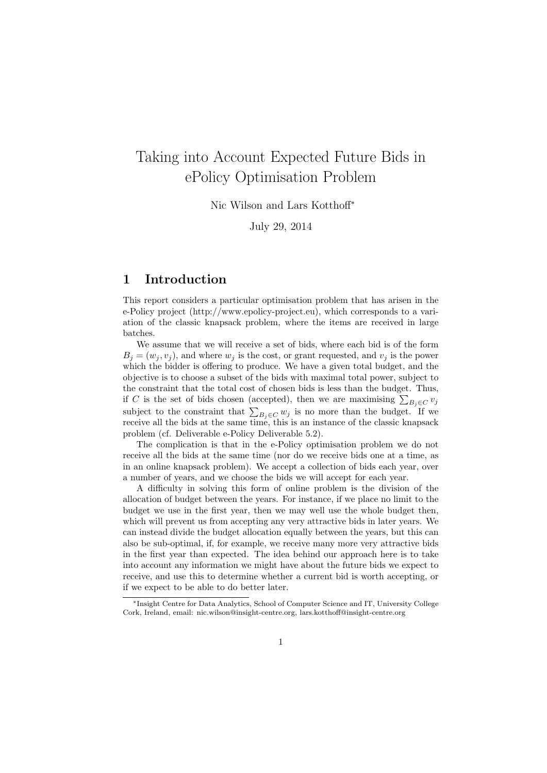# Taking into Account Expected Future Bids in ePolicy Optimisation Problem

Nic Wilson and Lars Kotthoff*<sup>∗</sup>*

July 29, 2014

# **1 Introduction**

This report considers a particular optimisation problem that has arisen in the e-Policy project (http://www.epolicy-project.eu), which corresponds to a variation of the classic knapsack problem, where the items are received in large batches.

We assume that we will receive a set of bids, where each bid is of the form  $B_j = (w_j, v_j)$ , and where  $w_j$  is the cost, or grant requested, and  $v_j$  is the power which the bidder is offering to produce. We have a given total budget, and the objective is to choose a subset of the bids with maximal total power, subject to the constraint that the total cost of chosen bids is less than the budget. Thus, if *C* is the set of bids chosen (accepted), then we are maximising  $\sum_{B_j \in C} v_j$ subject to the constraint that  $\sum_{B_j \in C} w_j$  is no more than the budget. If we receive all the bids at the same time, this is an instance of the classic knapsack problem (cf. Deliverable e-Policy Deliverable 5.2).

The complication is that in the e-Policy optimisation problem we do not receive all the bids at the same time (nor do we receive bids one at a time, as in an online knapsack problem). We accept a collection of bids each year, over a number of years, and we choose the bids we will accept for each year.

A difficulty in solving this form of online problem is the division of the allocation of budget between the years. For instance, if we place no limit to the budget we use in the first year, then we may well use the whole budget then, which will prevent us from accepting any very attractive bids in later years. We can instead divide the budget allocation equally between the years, but this can also be sub-optimal, if, for example, we receive many more very attractive bids in the first year than expected. The idea behind our approach here is to take into account any information we might have about the future bids we expect to receive, and use this to determine whether a current bid is worth accepting, or if we expect to be able to do better later.

*<sup>∗</sup>*Insight Centre for Data Analytics, School of Computer Science and IT, University College Cork, Ireland, email: nic.wilson@insight-centre.org, lars.kotthoff@insight-centre.org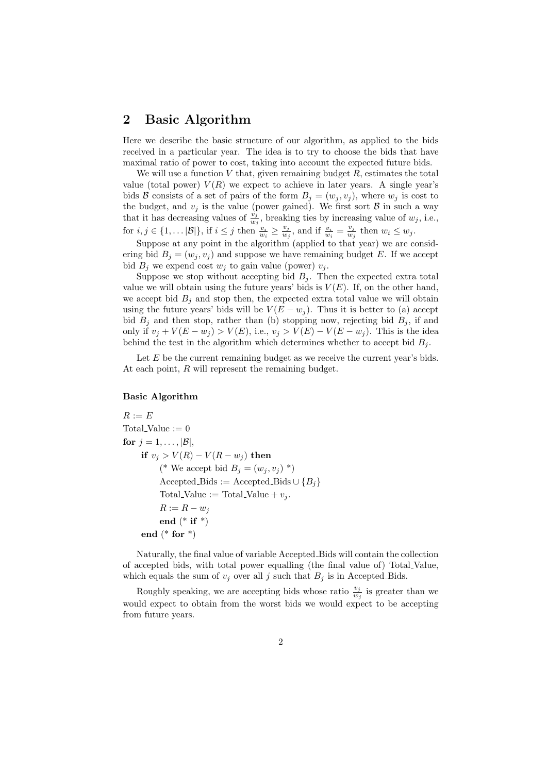### **2 Basic Algorithm**

Here we describe the basic structure of our algorithm, as applied to the bids received in a particular year. The idea is to try to choose the bids that have maximal ratio of power to cost, taking into account the expected future bids.

We will use a function  $V$  that, given remaining budget  $R$ , estimates the total value (total power)  $V(R)$  we expect to achieve in later years. A single year's bids *B* consists of a set of pairs of the form  $B_j = (w_j, v_j)$ , where  $w_j$  is cost to the budget, and  $v_j$  is the value (power gained). We first sort  $\beta$  in such a way that it has decreasing values of  $\frac{v_j}{w_j}$ , breaking ties by increasing value of  $w_j$ , i.e., for  $i, j \in \{1, \ldots |B|\}$ , if  $i \leq j$  then  $\frac{v_i}{w_i} \geq \frac{v_j}{w_j}$  $\frac{v_j}{w_j}$ , and if  $\frac{v_i}{w_i} = \frac{v_j}{w_j}$  $\frac{v_j}{w_j}$  then  $w_i \leq w_j$ .

Suppose at any point in the algorithm (applied to that year) we are considering bid  $B_i = (w_i, v_i)$  and suppose we have remaining budget *E*. If we accept bid  $B_j$  we expend cost  $w_j$  to gain value (power)  $v_j$ .

Suppose we stop without accepting bid  $B_i$ . Then the expected extra total value we will obtain using the future years' bids is  $V(E)$ . If, on the other hand, we accept bid  $B_i$  and stop then, the expected extra total value we will obtain using the future years' bids will be  $V(E - w_i)$ . Thus it is better to (a) accept bid  $B_i$  and then stop, rather than (b) stopping now, rejecting bid  $B_i$ , if and only if  $v_j$  +  $V(E − w_j) > V(E)$ , i.e.,  $v_j > V(E) - V(E − w_j)$ . This is the idea behind the test in the algorithm which determines whether to accept bid  $B_j$ .

Let *E* be the current remaining budget as we receive the current year's bids. At each point, *R* will represent the remaining budget.

#### **Basic Algorithm**

 $R := E$ Total Value  $:= 0$ for  $j = 1, \ldots, |\mathcal{B}|$ , **if**  $v_j > V(R) - V(R - w_j)$  **then**  $(*$  We accept bid  $B_i = (w_i, v_i) *$  $\text{Accepted_Bids} := \text{Accepted_Bids} \cup \{B_i\}$ Total Value := Total Value +  $v_i$ .  $R := R - w_j$ **end** (\* **if** \*) **end** (\* **for** \*)

Naturally, the final value of variable Accepted Bids will contain the collection of accepted bids, with total power equalling (the final value of) Total Value, which equals the sum of  $v_j$  over all *j* such that  $B_j$  is in Accepted Bids.

Roughly speaking, we are accepting bids whose ratio  $\frac{v_j}{w_j}$  is greater than we would expect to obtain from the worst bids we would expect to be accepting from future years.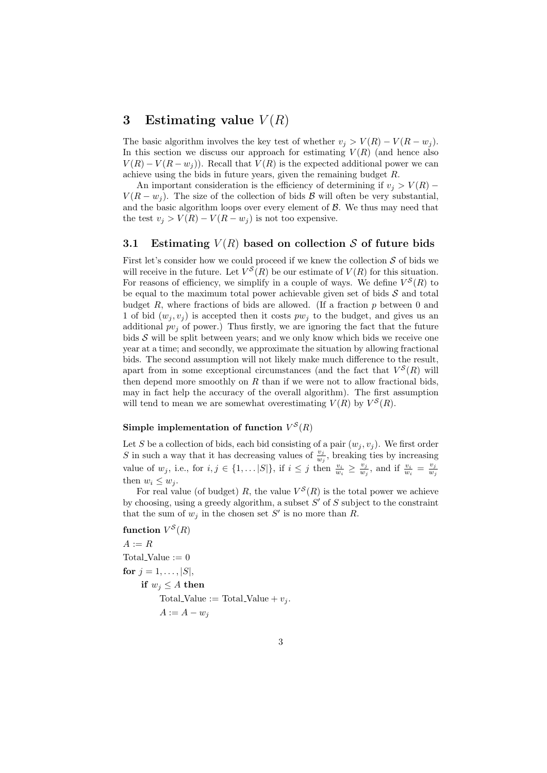## **3 Estimating value** *V* (*R*)

The basic algorithm involves the key test of whether  $v_j > V(R) - V(R - w_j)$ . In this section we discuss our approach for estimating  $V(R)$  (and hence also  $V(R) - V(R - w_i)$ . Recall that  $V(R)$  is the expected additional power we can achieve using the bids in future years, given the remaining budget *R*.

An important consideration is the efficiency of determining if  $v_j > V(R)$  – *V*( $R - w_i$ ). The size of the collection of bids  $B$  will often be very substantial, and the basic algorithm loops over every element of *B*. We thus may need that the test  $v_j > V(R) - V(R - w_j)$  is not too expensive.

### **3.1** Estimating  $V(R)$  based on collection *S* of future bids

First let's consider how we could proceed if we knew the collection  $S$  of bids we will receive in the future. Let  $V^S(R)$  be our estimate of  $V(R)$  for this situation. For reasons of efficiency, we simplify in a couple of ways. We define  $V^S(R)$  to be equal to the maximum total power achievable given set of bids *S* and total budget *R*, where fractions of bids are allowed. (If a fraction *p* between 0 and 1 of bid  $(w_i, v_i)$  is accepted then it costs  $pw_i$  to the budget, and gives us an additional  $pv_j$  of power.) Thus firstly, we are ignoring the fact that the future bids *S* will be split between years; and we only know which bids we receive one year at a time; and secondly, we approximate the situation by allowing fractional bids. The second assumption will not likely make much difference to the result, apart from in some exceptional circumstances (and the fact that  $V^S(R)$  will then depend more smoothly on  $R$  than if we were not to allow fractional bids, may in fact help the accuracy of the overall algorithm). The first assumption will tend to mean we are somewhat overestimating  $V(R)$  by  $V^{S}(R)$ .

#### Simple implementation of function  $V^S(R)$

Let *S* be a collection of bids, each bid consisting of a pair  $(w_j, v_j)$ . We first order *S* in such a way that it has decreasing values of  $\frac{v_j}{w_j}$ , breaking ties by increasing value of  $w_j$ , i.e., for  $i, j \in \{1, \ldots |S|\}$ , if  $i \leq j$  then  $\frac{v_i}{w_i} \geq \frac{v_j}{w_i}$  $\frac{v_j}{w_j}$ , and if  $\frac{v_i}{w_i} = \frac{v_j}{w_j}$  $w_j$ then  $w_i \leq w_j$ .

For real value (of budget) R, the value  $V^S(R)$  is the total power we achieve by choosing, using a greedy algorithm, a subset *S ′* of *S* subject to the constraint that the sum of  $w_j$  in the chosen set  $S'$  is no more than  $R$ .

**function**  $V^S(R)$  $A := R$ Total<br>-Value  $:= 0$ **for**  $j = 1, ..., |S|$ , **if**  $w_j \leq A$  **then** Total Value := Total Value +  $v_i$ .  $A := A - w_j$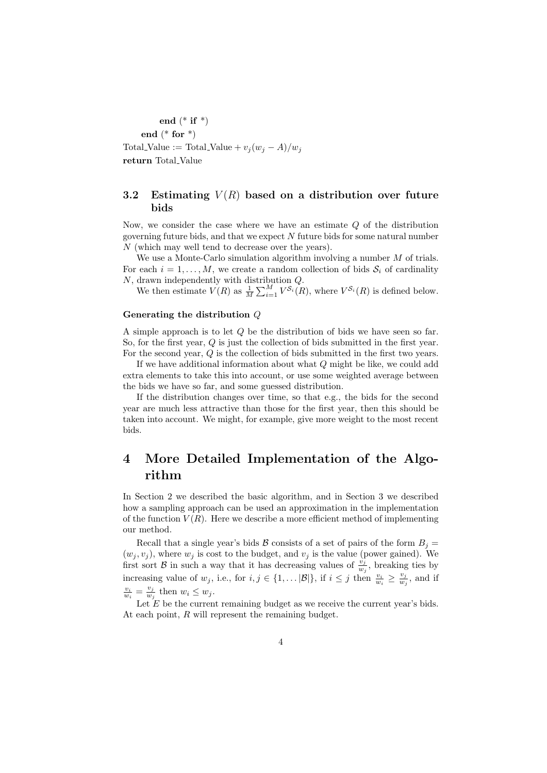**end** (\* **if** \*) **end** (\* **for** \*) Total\_Value := Total\_Value +  $v_j(w_j - A)/w_j$ 

**return** Total Value

### **3.2** Estimating  $V(R)$  based on a distribution over future **bids**

Now, we consider the case where we have an estimate *Q* of the distribution governing future bids, and that we expect *N* future bids for some natural number *N* (which may well tend to decrease over the years).

We use a Monte-Carlo simulation algorithm involving a number *M* of trials. For each  $i = 1, \ldots, M$ , we create a random collection of bids  $S_i$  of cardinality *N*, drawn independently with distribution *Q*.

We then estimate  $V(R)$  as  $\frac{1}{M} \sum_{i=1}^{M} V^{\mathcal{S}_i}(R)$ , where  $V^{\mathcal{S}_i}(R)$  is defined below.

#### **Generating the distribution** *Q*

A simple approach is to let *Q* be the distribution of bids we have seen so far. So, for the first year, *Q* is just the collection of bids submitted in the first year. For the second year, *Q* is the collection of bids submitted in the first two years.

If we have additional information about what *Q* might be like, we could add extra elements to take this into account, or use some weighted average between the bids we have so far, and some guessed distribution.

If the distribution changes over time, so that e.g., the bids for the second year are much less attractive than those for the first year, then this should be taken into account. We might, for example, give more weight to the most recent bids.

# **4 More Detailed Implementation of the Algorithm**

In Section 2 we described the basic algorithm, and in Section 3 we described how a sampling approach can be used an approximation in the implementation of the function  $V(R)$ . Here we describe a more efficient method of implementing our method.

Recall that a single year's bids *B* consists of a set of pairs of the form  $B_i$  =  $(w_j, v_j)$ , where  $w_j$  is cost to the budget, and  $v_j$  is the value (power gained). We first sort *B* in such a way that it has decreasing values of  $\frac{v_j}{w_j}$ , breaking ties by increasing value of  $w_j$ , i.e., for  $i, j \in \{1, \ldots |B|\}$ , if  $i \leq j$  then  $\frac{v_i}{w_i} \geq \frac{v_j}{w_j}$  $\frac{v_j}{w_j}$ , and if  $\frac{v_i}{w_i} = \frac{v_j}{w_j}$  $\frac{v_j}{w_j}$  then  $w_i \leq w_j$ .

Let *E* be the current remaining budget as we receive the current year's bids. At each point, *R* will represent the remaining budget.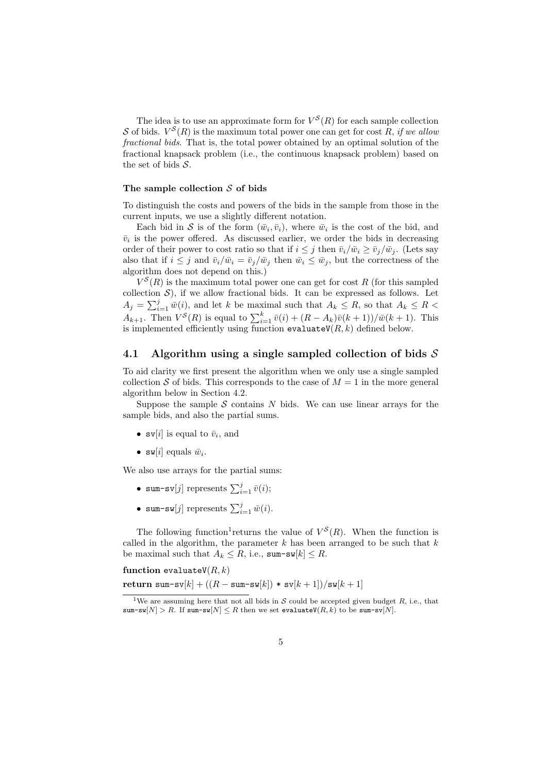The idea is to use an approximate form for  $V^S(R)$  for each sample collection *S* of bids.  $V^{S}(R)$  is the maximum total power one can get for cost *R*, *if we allow fractional bids*. That is, the total power obtained by an optimal solution of the fractional knapsack problem (i.e., the continuous knapsack problem) based on the set of bids *S*.

#### **The sample collection** *S* **of bids**

To distinguish the costs and powers of the bids in the sample from those in the current inputs, we use a slightly different notation.

Each bid in S is of the form  $(\bar{w}_i, \bar{v}_i)$ , where  $\bar{w}_i$  is the cost of the bid, and  $\bar{v}_i$  is the power offered. As discussed earlier, we order the bids in decreasing order of their power to cost ratio so that if  $i < j$  then  $\bar{v}_i/\bar{w}_i > \bar{v}_j/\bar{w}_j$ . (Lets say also that if  $i \leq j$  and  $\bar{v}_i / \bar{w}_i = \bar{v}_i / \bar{w}_j$  then  $\bar{w}_i \leq \bar{w}_j$ , but the correctness of the algorithm does not depend on this.)

 $V^{S}(R)$  is the maximum total power one can get for cost *R* (for this sampled collection  $S$ ), if we allow fractional bids. It can be expressed as follows. Let  $A_j = \sum_{i=1}^j \overline{w}(i)$ , and let *k* be maximal such that  $A_k \leq R$ , so that  $A_k \leq R$ *A*<sub>*k*+1</sub>. Then  $V^{S}(R)$  is equal to  $\sum_{i=1}^{k} \bar{v}(i) + (R - A_{k})\bar{v}(k+1)/\bar{w}(k+1)$ . This is implemented efficiently using function  $\texttt{evaluateV}(R, k)$  defined below.

#### **4.1 Algorithm using a single sampled collection of bids** *S*

To aid clarity we first present the algorithm when we only use a single sampled collection *S* of bids. This corresponds to the case of  $M = 1$  in the more general algorithm below in Section 4.2.

Suppose the sample  $S$  contains  $N$  bids. We can use linear arrays for the sample bids, and also the partial sums.

- $\mathbf{sv}[i]$  is equal to  $\bar{v}_i$ , and
- $\mathbf{w}[i]$  equals  $\bar{w}_i$ .

We also use arrays for the partial sums:

- sum-sv[*j*] represents  $\sum_{i=1}^{j} \bar{v}(i);$
- sum-sw[*j*] represents  $\sum_{i=1}^{j} \bar{w}(i)$ .

The following function<sup>1</sup> returns the value of  $V^S(R)$ . When the function is called in the algorithm, the parameter *k* has been arranged to be such that *k* be maximal such that  $A_k \leq R$ , i.e., sum-sw[ $k$ ]  $\leq R$ .

**function** evaluate $V(R, k)$  $\text{return sum-sv}[k] + ((R - \text{sum-sw}[k]) * \text{sv}[k+1]) / \text{sw}[k+1]$ 

<sup>&</sup>lt;sup>1</sup>We are assuming here that not all bids in *S* could be accepted given budget *R*, i.e., that sum-sw $[N] > R$ . If sum-sw $[N] \leq R$  then we set evaluateV $(R, k)$  to be sum-sv $[N]$ .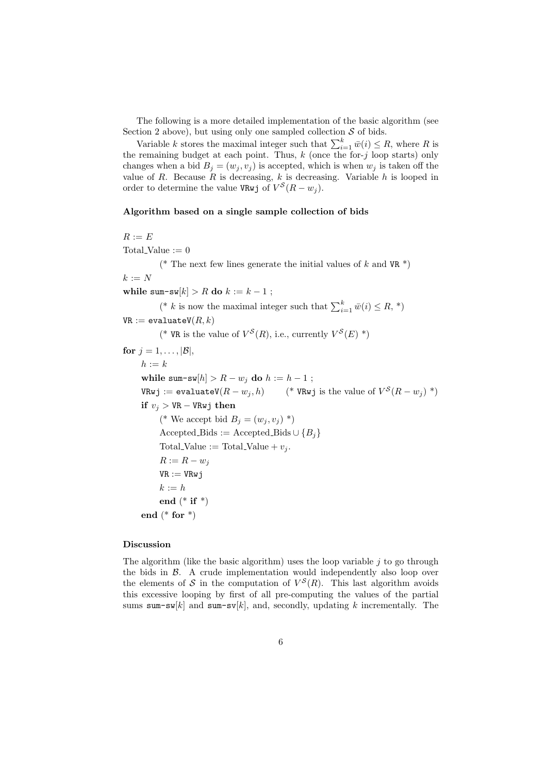The following is a more detailed implementation of the basic algorithm (see Section 2 above), but using only one sampled collection *S* of bids.

Variable *k* stores the maximal integer such that  $\sum_{i=1}^{k} \bar{w}(i) \leq R$ , where *R* is the remaining budget at each point. Thus, *k* (once the for-*j* loop starts) only changes when a bid  $B_i = (w_i, v_i)$  is accepted, which is when  $w_i$  is taken off the value of *R*. Because *R* is decreasing, *k* is decreasing. Variable *h* is looped in order to determine the value VRwj of  $V^S(R - w_j)$ .

#### **Algorithm based on a single sample collection of bids**

*R* := *E*

Total Value  $:= 0$ (\* The next few lines generate the initial values of  $k$  and  $VR$ )  $k := N$ while sum-sw[ $k$ ] > R **do**  $k := k - 1$ ; (<sup>\*</sup> *k* is now the maximal integer such that  $\sum_{i=1}^{k} \bar{w}(i) \leq R,$ <sup>\*</sup>)  $VR := evaluateV(R, k)$ <sup>(\*</sup> VR is the value of  $V^S(R)$ , i.e., currently  $V^S(E)$ <sup>\*</sup>) for  $j = 1, \ldots, |\mathcal{B}|$ ,  $h := k$ **while** sum-sw[ $h$ ] >  $R - w_j$  **do**  $h := h - 1$ ;  $V R w j := \text{evaluate} V(R - w_j, h)$ <sup>(\*</sup> VRwj is the value of  $V^S(R - w_i)$  \*) **if**  $v_j > \text{VR} - \text{VRwj}$  **then**  $(*$  We accept bid  $B_i = (w_i, v_i) *$  $\text{Accepted\_Bids} := \text{Accepted\_Bids} \cup \{B_i\}$ Total Value := Total Value +  $v_j$ .  $R := R - w_j$  $VR := VRwj$  $k := h$ **end** (\* **if** \*) **end** (\* **for** \*)

#### **Discussion**

The algorithm (like the basic algorithm) uses the loop variable *j* to go through the bids in *B*. A crude implementation would independently also loop over the elements of  $S$  in the computation of  $V^S(R)$ . This last algorithm avoids this excessive looping by first of all pre-computing the values of the partial sums sum-sw[ $k$ ] and sum-sw[ $k$ ], and, secondly, updating  $k$  incrementally. The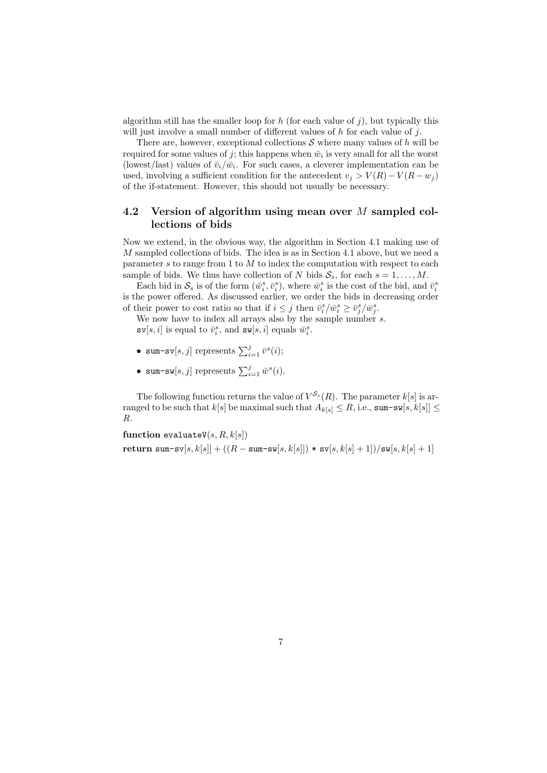algorithm still has the smaller loop for  $h$  (for each value of  $j$ ), but typically this will just involve a small number of different values of *h* for each value of *j*.

There are, however, exceptional collections  $S$  where many values of  $h$  will be required for some values of  $j$ ; this happens when  $\bar{w}_i$  is very small for all the worst (lowest/last) values of  $\bar{v}_i/\bar{w}_i$ . For such cases, a cleverer implementation can be used, involving a sufficient condition for the antecedent  $v_j > V(R) - V(R - w_j)$ of the if-statement. However, this should not usually be necessary.

### **4.2 Version of algorithm using mean over** *M* **sampled collections of bids**

Now we extend, in the obvious way, the algorithm in Section 4.1 making use of *M* sampled collections of bids. The idea is as in Section 4.1 above, but we need a parameter *s* to range from 1 to *M* to index the computation with respect to each sample of bids. We thus have collection of *N* bids  $S_s$ , for each  $s = 1, \ldots, M$ .

Each bid in  $S_s$  is of the form  $(\bar{w}_i^s, \bar{v}_i^s)$ , where  $\bar{w}_i^s$  is the cost of the bid, and  $\bar{v}_i^s$ is the power offered. As discussed earlier, we order the bids in decreasing order of their power to cost ratio so that if  $i \leq j$  then  $\bar{v}_i^s / \bar{w}_i^s \geq \bar{v}_j^s / \bar{w}_j^s$ .

We now have to index all arrays also by the sample number *s*.

 $\mathbf{sv}[s, i]$  is equal to  $\bar{v}_i^s$ , and  $\mathbf{sw}[s, i]$  equals  $\bar{w}_i^s$ .

- sum-sv[ $s, j$ ] represents  $\sum_{i=1}^{j} \bar{v}^s(i);$
- sum-sw[ $s, j$ ] represents  $\sum_{i=1}^{j} \bar{w}^s(i)$ .

The following function returns the value of  $V^{S_s}(R)$ . The parameter  $k[s]$  is arranged to be such that  $k[s]$  be maximal such that  $A_{k[s]} \leq R$ , i.e., sum-sw $[s, k[s]] \leq R$ *R*.

**function** evaluateV $(s, R, k[s])$  $\text{return sum-sv}[s, k[s]] + ((R - \text{sum-sw}[s, k[s]]) \cdot \text{sv}[s, k[s] + 1]) / \text{sw}[s, k[s] + 1]$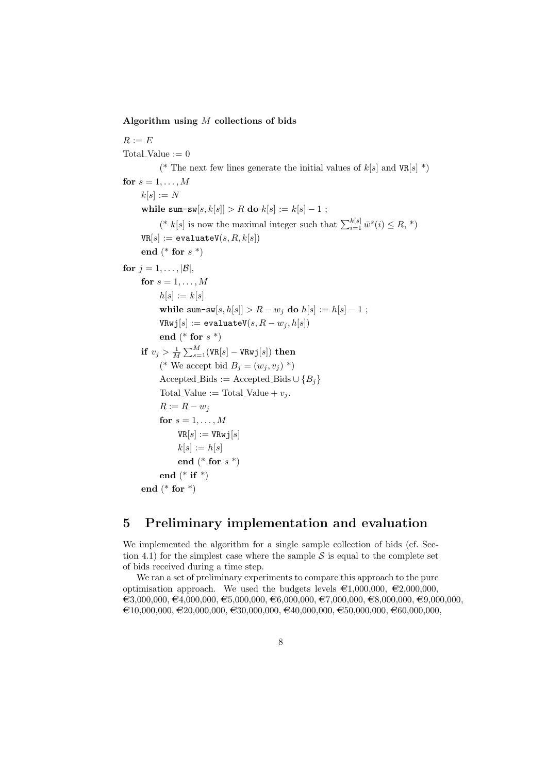**Algorithm using** *M* **collections of bids**

 $R := E$ Total\_Value  $:= 0$ <sup>(\*</sup> The next few lines generate the initial values of  $k[s]$  and  $VR[s]$ <sup>\*</sup>) for  $s = 1, \ldots, M$  $k[s] := N$ **while** sum-sw[ $s, k[s] > R$  **do**  $k[s] := k[s] - 1$ ;  $(* k[s]$  is now the maximal integer such that  $\sum_{i=1}^{k[s]} \bar{w}^s(i) \leq R, *$  $VR[s] := evaluateV(s, R, k[s])$ **end** (\* **for** *s* \*) for  $j = 1, \ldots, |\mathcal{B}|$ , for  $s = 1, \ldots, M$  $h[s] := k[s]$ **while** sum-sw[ $s, h[s] > R - w_j$  **do**  $h[s] := h[s] - 1$ ;  $V R w j [s] := \text{evaluateV}(s, R - w_j, h[s])$ **end** (\* **for** *s* \*)  $\mathbf{if} \,\, v_j > \frac{1}{M} \sum_{s=1}^M (\mathtt{VR}[s] - \mathtt{VRwj}[s]) \,\, \mathbf{then}$  $(*$  We accept bid  $B_j = (w_j, v_j) *$  $Accepted_Bids := Accepted_Bids \cup \{B_i\}$ Total\_Value := Total\_Value +  $v_j$ .  $R := R - w_j$ for  $s = 1, \ldots, M$  $VR[s] := VRwj[s]$  $k[s] := h[s]$ **end** (\* **for** *s* \*) **end** (\* **if** \*) **end** (\* **for** \*)

# **5 Preliminary implementation and evaluation**

We implemented the algorithm for a single sample collection of bids (cf. Section 4.1) for the simplest case where the sample  $S$  is equal to the complete set of bids received during a time step.

We ran a set of preliminary experiments to compare this approach to the pure optimisation approach. We used the budgets levels  $\epsilon_{1,000,000}$ ,  $\epsilon_{2,000,000}$ ,  $\epsilon_3,000,000, \epsilon_4,000,000, \epsilon_5,000,000, \epsilon_6,000,000, \epsilon_7,000,000, \epsilon_8,000,000, \epsilon_9,000,000,$  $\epsilon_{10,000,000}$ ,  $\epsilon_{20,000,000}$ ,  $\epsilon_{30,000,000}$ ,  $\epsilon_{40,000,000}$ ,  $\epsilon_{50,000,000}$ ,  $\epsilon_{60,000,000}$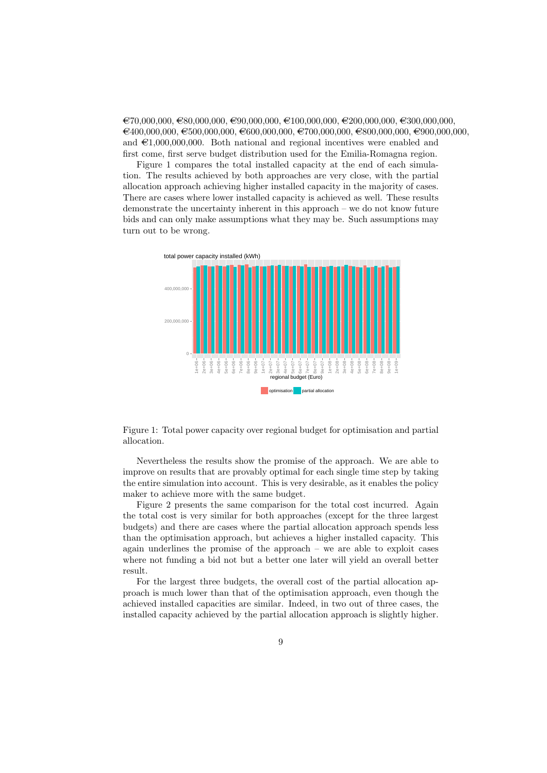$\epsilon$ 70,000,000, $\epsilon$ 80,000,000, $\epsilon$ 90,000,000, $\epsilon$ 100,000,000, $\epsilon$ 200,000,000, $\epsilon$ 300,000,000,000,  $A \in \{400,000,000, \in 500,000,000, \in 600,000,000, \in 700,000,000, \in 800,000,000, \in 900,000,000, \in 900,000,000, \in 900,000,000, \in 900,000,000, \in 900,000,000, \in 900,000,000, \in 900,000,000, \in 900,000,000, \in 900,000,000, \in 900,0$ and  $\epsilon$ 1,000,000,000. Both national and regional incentives were enabled and first come, first serve budget distribution used for the Emilia-Romagna region.

Figure 1 compares the total installed capacity at the end of each simulation. The results achieved by both approaches are very close, with the partial allocation approach achieving higher installed capacity in the majority of cases. There are cases where lower installed capacity is achieved as well. These results demonstrate the uncertainty inherent in this approach – we do not know future bids and can only make assumptions what they may be. Such assumptions may turn out to be wrong.



Figure 1: Total power capacity over regional budget for optimisation and partial allocation.

Nevertheless the results show the promise of the approach. We are able to improve on results that are provably optimal for each single time step by taking the entire simulation into account. This is very desirable, as it enables the policy maker to achieve more with the same budget.

Figure 2 presents the same comparison for the total cost incurred. Again the total cost is very similar for both approaches (except for the three largest budgets) and there are cases where the partial allocation approach spends less than the optimisation approach, but achieves a higher installed capacity. This again underlines the promise of the approach – we are able to exploit cases where not funding a bid not but a better one later will yield an overall better result.

For the largest three budgets, the overall cost of the partial allocation approach is much lower than that of the optimisation approach, even though the achieved installed capacities are similar. Indeed, in two out of three cases, the installed capacity achieved by the partial allocation approach is slightly higher.